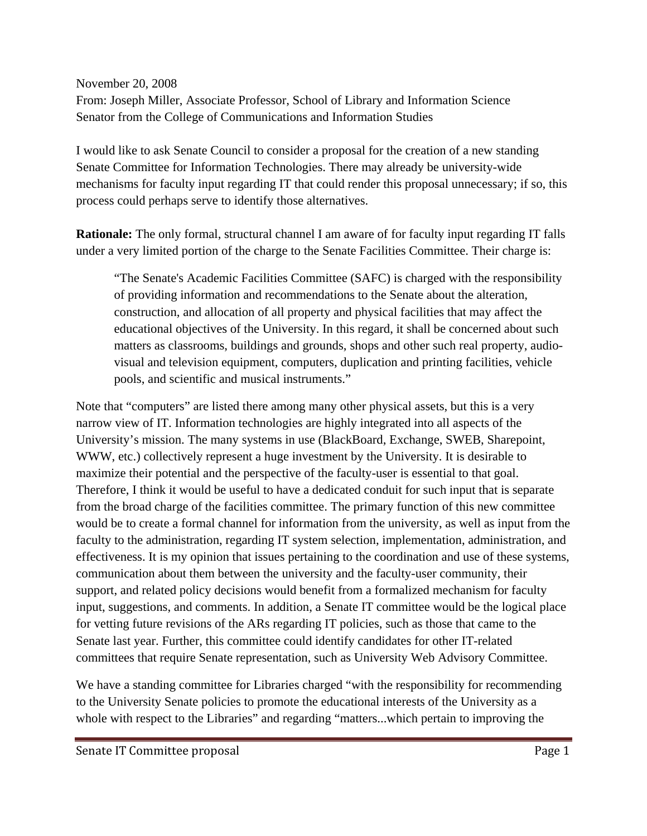November 20, 2008 From: Joseph Miller, Associate Professor, School of Library and Information Science Senator from the College of Communications and Information Studies

I would like to ask Senate Council to consider a proposal for the creation of a new standing Senate Committee for Information Technologies. There may already be university-wide mechanisms for faculty input regarding IT that could render this proposal unnecessary; if so, this process could perhaps serve to identify those alternatives.

**Rationale:** The only formal, structural channel I am aware of for faculty input regarding IT falls under a very limited portion of the charge to the Senate Facilities Committee. Their charge is:

"The Senate's Academic Facilities Committee (SAFC) is charged with the responsibility of providing information and recommendations to the Senate about the alteration, construction, and allocation of all property and physical facilities that may affect the educational objectives of the University. In this regard, it shall be concerned about such matters as classrooms, buildings and grounds, shops and other such real property, audiovisual and television equipment, computers, duplication and printing facilities, vehicle pools, and scientific and musical instruments."

Note that "computers" are listed there among many other physical assets, but this is a very narrow view of IT. Information technologies are highly integrated into all aspects of the University's mission. The many systems in use (BlackBoard, Exchange, SWEB, Sharepoint, WWW, etc.) collectively represent a huge investment by the University. It is desirable to maximize their potential and the perspective of the faculty-user is essential to that goal. Therefore, I think it would be useful to have a dedicated conduit for such input that is separate from the broad charge of the facilities committee. The primary function of this new committee would be to create a formal channel for information from the university, as well as input from the faculty to the administration, regarding IT system selection, implementation, administration, and effectiveness. It is my opinion that issues pertaining to the coordination and use of these systems, communication about them between the university and the faculty-user community, their support, and related policy decisions would benefit from a formalized mechanism for faculty input, suggestions, and comments. In addition, a Senate IT committee would be the logical place for vetting future revisions of the ARs regarding IT policies, such as those that came to the Senate last year. Further, this committee could identify candidates for other IT-related committees that require Senate representation, such as University Web Advisory Committee.

We have a standing committee for Libraries charged "with the responsibility for recommending to the University Senate policies to promote the educational interests of the University as a whole with respect to the Libraries" and regarding "matters...which pertain to improving the